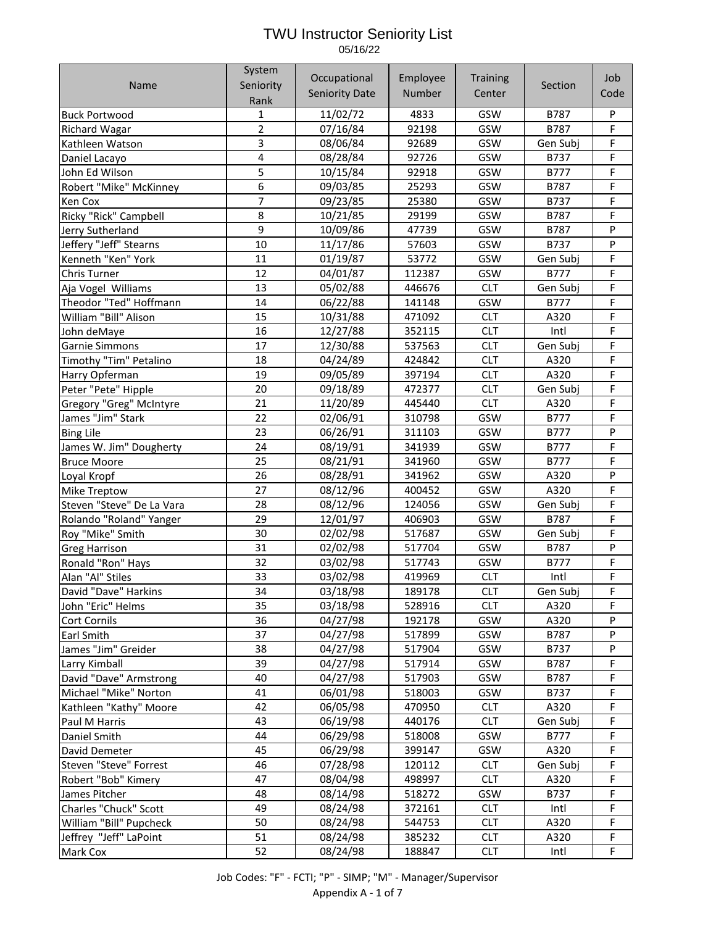Name System Seniority Rank **Occupational** Seniority Date Employee Number **Training Center** Section Job Code Buck Portwood – 1 1 | 11/02/72 | 4833 | GSW | B787 | P Richard Wagar 2 07/16/84 92198 GSW B787 F Kathleen Watson 3 08/06/84 92689 GSW Gen Subj F Daniel Lacayo 4 08/28/84 92726 GSW B737 F John Ed Wilson 5 10/15/84 92918 GSW B777 F Robert "Mike" McKinney 6 09/03/85 25293 GSW B787 F Ken Cox | 7 | 09/23/85 | 25380 | GSW | B737 | F Ricky "Rick" Campbell 8 10/21/85 29199 GSW B787 F Jerry Sutherland 9 10/09/86 47739 GSW B787 P Jeffery "Jeff" Stearns | 10 | 11/17/86 | 57603 | GSW | B737 | P Kenneth "Ken" York | 11 | 01/19/87 | 53772 | GSW | Gen Subj | F Chris Turner 12 04/01/87 112387 GSW B777 F Aja Vogel Williams 1 13 | 05/02/88 | 446676 | CLT | Gen Subj | F Theodor "Ted" Hoffmann 14 06/22/88 141148 GSW B777 F William "Bill" Alison 15 10/31/88 471092 CLT A320 F John deMaye 16 12/27/88 352115 CLT Intl F Garnie Simmons 17 12/30/88 537563 CLT Gen Subj F Timothy "Tim" Petalino 18 04/24/89 424842 CLT A320 F Harry Opferman 19 09/05/89 397194 CLT A320 F Peter "Pete" Hipple 20 09/18/89 472377 CLT Gen Subj F Gregory "Greg" McIntyre 21 11/20/89 445440 CLT A320 F James "Jim" Stark 22 02/06/91 310798 GSW B777 F Bing Lile 23 06/26/91 311103 GSW B777 P James W. Jim" Dougherty | 24 | 08/19/91 | 341939 | GSW | B777 | F Bruce Moore 25 08/21/91 341960 GSW B777 F Loyal Kropf 26 08/28/91 341962 GSW A320 P Mike Treptow 27 08/12/96 400452 GSW A320 F Steven "Steve" De La Vara 28 08/12/96 124056 GSW Gen Subj F Rolando "Roland" Yanger | 29 | 12/01/97 | 406903 | GSW | B787 | F Roy "Mike" Smith 30 02/02/98 517687 GSW Gen Subj F Greg Harrison 31 02/02/98 517704 GSW B787 P Ronald "Ron" Hays | 32 | 03/02/98 | 517743 | GSW | B777 | F Alan "Al" Stiles 33 03/02/98 419969 CLT Intl F David "Dave" Harkins 34 03/18/98 189178 CLT Gen Subj F John "Eric" Helms | 35 | 03/18/98 | 528916 | CLT | A320 | F Cort Cornils 36 04/27/98 192178 GSW A320 P Earl Smith 37 04/27/98 517899 GSW B787 P James "Jim" Greider 38 04/27/98 517904 GSW B737 P Larry Kimball 39 04/27/98 517914 GSW B787 F David "Dave" Armstrong 40 04/27/98 517903 GSW B787 F Michael "Mike" Norton 41 06/01/98 518003 GSW B737 F Kathleen "Kathy" Moore 42 06/05/98 470950 CLT A320 F Paul M Harris 43 06/19/98 440176 CLT Gen Subj F Daniel Smith **1980 Computer 14 Computer 144** 1 06/29/98 518008 GSW 1 B777 F David Demeter 45 06/29/98 399147 GSW A320 F Steven "Steve" Forrest 46 07/28/98 120112 CLT Gen Subj F Robert "Bob" Kimery 47 08/04/98 498997 CLT A320 F James Pitcher 48 08/14/98 518272 GSW B737 F Charles "Chuck" Scott 49 08/24/98 372161 CLT Intl F William "Bill" Pupcheck 50 08/24/98 544753 CLT A320 F Jeffrey "Jeff" LaPoint 51 08/24/98 385232 CLT A320 F Mark Cox 52 08/24/98 188847 CLT Intl F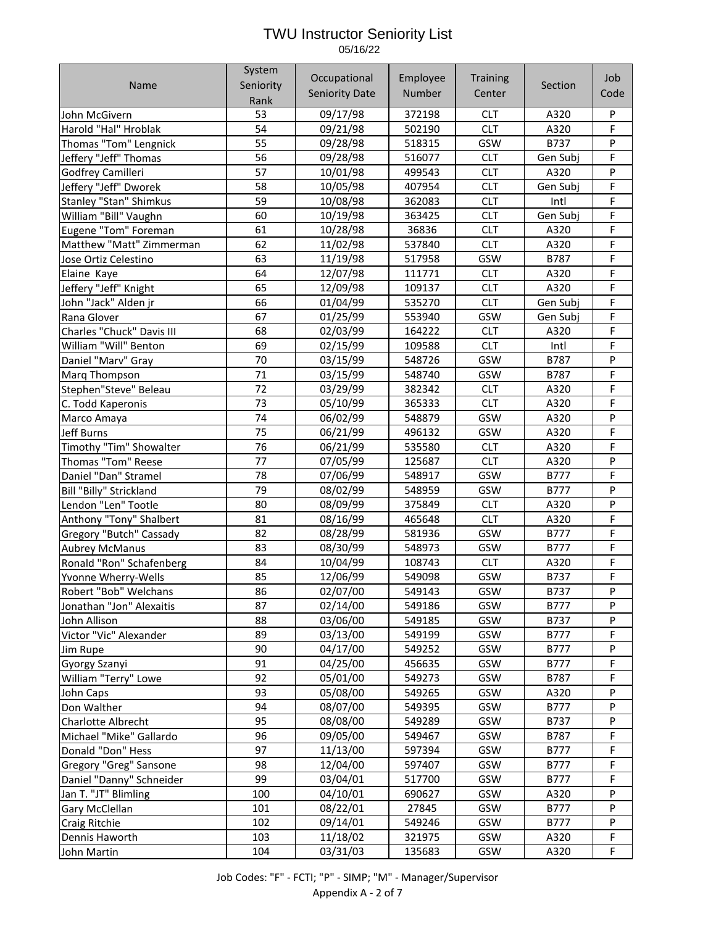| Seniority<br>Name<br>Section<br><b>Seniority Date</b><br>Number<br>Center<br>Code<br>Rank<br>09/17/98<br>372198<br><b>CLT</b><br>53<br>A320<br>P<br>John McGivern<br>F<br>54<br><b>CLT</b><br>Harold "Hal" Hroblak<br>09/21/98<br>502190<br>A320<br>55<br>P<br>09/28/98<br>GSW<br>B737<br>Thomas "Tom" Lengnick<br>518315<br>56<br>F<br>Jeffery "Jeff" Thomas<br>09/28/98<br>516077<br><b>CLT</b><br>Gen Subj<br>57<br><b>CLT</b><br>P<br>10/01/98<br>499543<br>A320<br>Godfrey Camilleri<br>F<br>Jeffery "Jeff" Dworek<br>58<br>10/05/98<br>407954<br><b>CLT</b><br>Gen Subj<br>F<br><b>Stanley "Stan" Shimkus</b><br>59<br><b>CLT</b><br>Intl<br>10/08/98<br>362083<br>F<br>William "Bill" Vaughn<br>60<br>10/19/98<br><b>CLT</b><br>Gen Subj<br>363425<br>F<br>Eugene "Tom" Foreman<br>61<br>CLT<br>10/28/98<br>36836<br>A320<br>F<br>Matthew "Matt" Zimmerman<br>62<br><b>CLT</b><br>11/02/98<br>537840<br>A320<br>F<br>63<br>11/19/98<br>GSW<br>517958<br>B787<br>Jose Ortiz Celestino<br>F<br>64<br>12/07/98<br><b>CLT</b><br>111771<br>A320<br>Elaine Kaye<br>F<br>65<br>12/09/98<br>Jeffery "Jeff" Knight<br>109137<br><b>CLT</b><br>A320<br>F<br>01/04/99<br><b>CLT</b><br>John "Jack" Alden jr<br>66<br>535270<br>Gen Subj<br>F<br>67<br>01/25/99<br>GSW<br>553940<br>Gen Subj<br>Rana Glover<br>F<br>Charles "Chuck" Davis III<br>68<br>02/03/99<br><b>CLT</b><br>A320<br>164222<br>F<br>69<br><b>CLT</b><br>Intl<br>William "Will" Benton<br>02/15/99<br>109588<br>P<br>70<br>03/15/99<br>GSW<br>Daniel "Marv" Gray<br>548726<br>B787<br>F<br>71<br>548740<br>GSW<br>B787<br>03/15/99<br>Marq Thompson<br>F<br>72<br>Stephen"Steve" Beleau<br>03/29/99<br>382342<br><b>CLT</b><br>A320<br>F<br>73<br><b>CLT</b><br>05/10/99<br>365333<br>A320<br>C. Todd Kaperonis<br>P<br>74<br>06/02/99<br>GSW<br>548879<br>A320<br>Marco Amaya<br>F<br>75<br>496132<br>GSW<br>A320<br><b>Jeff Burns</b><br>06/21/99<br>F<br>76<br>Timothy "Tim" Showalter<br>06/21/99<br>535580<br><b>CLT</b><br>A320<br>77<br>P<br>Thomas "Tom" Reese<br><b>CLT</b><br>07/05/99<br>125687<br>A320<br>F<br>Daniel "Dan" Stramel<br>78<br>07/06/99<br>GSW<br><b>B777</b><br>548917<br>P<br>Bill "Billy" Strickland<br>79<br>08/02/99<br>GSW<br>548959<br><b>B777</b><br>P<br>08/09/99<br><b>CLT</b><br>Lendon "Len" Tootle<br>80<br>375849<br>A320<br>F<br>08/16/99<br><b>CLT</b><br>Anthony "Tony" Shalbert<br>81<br>465648<br>A320<br>F<br>82<br>08/28/99<br>GSW<br>Gregory "Butch" Cassady<br>581936<br><b>B777</b><br>F<br>83<br>08/30/99<br>548973<br>GSW<br><b>B777</b><br><b>Aubrey McManus</b><br>F<br>84<br>10/04/99<br><b>CLT</b><br>Ronald "Ron" Schafenberg<br>108743<br>A320<br>F<br>85<br>12/06/99<br>Yvonne Wherry-Wells<br>549098<br>GSW<br>B737<br>02/07/00<br>Robert "Bob" Welchans<br>86<br>549143<br>GSW<br>B737<br>P<br>P<br>87<br>02/14/00<br>GSW<br>Jonathan "Jon" Alexaitis<br>549186<br>B777<br>03/06/00<br>P<br>John Allison<br>88<br>549185<br>GSW<br>B737<br>Victor "Vic" Alexander<br>89<br>03/13/00<br>GSW<br>B777<br>F<br>549199<br>90<br>04/17/00<br>GSW<br><b>B777</b><br>P<br>549252<br>Jim Rupe<br>F<br>91<br>04/25/00<br>GSW<br>B777<br>456635<br>Gyorgy Szanyi<br>F<br>William "Terry" Lowe<br>92<br>05/01/00<br>549273<br>GSW<br>B787<br>P<br>GSW<br>93<br>05/08/00<br>549265<br>A320<br>John Caps<br>P<br>94<br>08/07/00<br>549395<br>GSW<br><b>B777</b><br>Don Walther<br>08/08/00<br>P<br>95<br>549289<br>GSW<br>B737<br><b>Charlotte Albrecht</b><br>F<br>96<br>09/05/00<br>GSW<br>Michael "Mike" Gallardo<br>549467<br>B787<br>F<br>Donald "Don" Hess<br>97<br>11/13/00<br>597394<br>GSW<br>B777<br>12/04/00<br>F<br>98<br>597407<br>GSW<br>B777<br>Gregory "Greg" Sansone<br>F<br>99<br>03/04/01<br>Daniel "Danny" Schneider<br>517700<br>GSW<br>B777<br>P<br>100<br>04/10/01<br>GSW<br>690627<br>A320<br>Jan T. "JT" Blimling<br>P<br>101<br>08/22/01<br>GSW<br>27845<br><b>B777</b><br>Gary McClellan<br>102<br>09/14/01<br>549246<br>GSW<br><b>B777</b><br>P<br><b>Craig Ritchie</b><br>F<br>103<br>11/18/02<br>321975<br>GSW<br>A320<br>Dennis Haworth<br>F<br>104<br>03/31/03<br>135683<br>GSW<br>A320<br>John Martin | System | Occupational | Employee | <b>Training</b> | Job |
|------------------------------------------------------------------------------------------------------------------------------------------------------------------------------------------------------------------------------------------------------------------------------------------------------------------------------------------------------------------------------------------------------------------------------------------------------------------------------------------------------------------------------------------------------------------------------------------------------------------------------------------------------------------------------------------------------------------------------------------------------------------------------------------------------------------------------------------------------------------------------------------------------------------------------------------------------------------------------------------------------------------------------------------------------------------------------------------------------------------------------------------------------------------------------------------------------------------------------------------------------------------------------------------------------------------------------------------------------------------------------------------------------------------------------------------------------------------------------------------------------------------------------------------------------------------------------------------------------------------------------------------------------------------------------------------------------------------------------------------------------------------------------------------------------------------------------------------------------------------------------------------------------------------------------------------------------------------------------------------------------------------------------------------------------------------------------------------------------------------------------------------------------------------------------------------------------------------------------------------------------------------------------------------------------------------------------------------------------------------------------------------------------------------------------------------------------------------------------------------------------------------------------------------------------------------------------------------------------------------------------------------------------------------------------------------------------------------------------------------------------------------------------------------------------------------------------------------------------------------------------------------------------------------------------------------------------------------------------------------------------------------------------------------------------------------------------------------------------------------------------------------------------------------------------------------------------------------------------------------------------------------------------------------------------------------------------------------------------------------------------------------------------------------------------------------------------------------------------------------------------------------------------------------------------------------------------------------------------------------------------------------------------------------------------------------------------------------------------------------------------------------------------------------------------------------------------------------------------------------------------------------------------------------------------------------------------------------------------------------------------------------------------------------------------------------------------------------------------------------------------------------------------|--------|--------------|----------|-----------------|-----|
|                                                                                                                                                                                                                                                                                                                                                                                                                                                                                                                                                                                                                                                                                                                                                                                                                                                                                                                                                                                                                                                                                                                                                                                                                                                                                                                                                                                                                                                                                                                                                                                                                                                                                                                                                                                                                                                                                                                                                                                                                                                                                                                                                                                                                                                                                                                                                                                                                                                                                                                                                                                                                                                                                                                                                                                                                                                                                                                                                                                                                                                                                                                                                                                                                                                                                                                                                                                                                                                                                                                                                                                                                                                                                                                                                                                                                                                                                                                                                                                                                                                                                                                                                      |        |              |          |                 |     |
|                                                                                                                                                                                                                                                                                                                                                                                                                                                                                                                                                                                                                                                                                                                                                                                                                                                                                                                                                                                                                                                                                                                                                                                                                                                                                                                                                                                                                                                                                                                                                                                                                                                                                                                                                                                                                                                                                                                                                                                                                                                                                                                                                                                                                                                                                                                                                                                                                                                                                                                                                                                                                                                                                                                                                                                                                                                                                                                                                                                                                                                                                                                                                                                                                                                                                                                                                                                                                                                                                                                                                                                                                                                                                                                                                                                                                                                                                                                                                                                                                                                                                                                                                      |        |              |          |                 |     |
|                                                                                                                                                                                                                                                                                                                                                                                                                                                                                                                                                                                                                                                                                                                                                                                                                                                                                                                                                                                                                                                                                                                                                                                                                                                                                                                                                                                                                                                                                                                                                                                                                                                                                                                                                                                                                                                                                                                                                                                                                                                                                                                                                                                                                                                                                                                                                                                                                                                                                                                                                                                                                                                                                                                                                                                                                                                                                                                                                                                                                                                                                                                                                                                                                                                                                                                                                                                                                                                                                                                                                                                                                                                                                                                                                                                                                                                                                                                                                                                                                                                                                                                                                      |        |              |          |                 |     |
|                                                                                                                                                                                                                                                                                                                                                                                                                                                                                                                                                                                                                                                                                                                                                                                                                                                                                                                                                                                                                                                                                                                                                                                                                                                                                                                                                                                                                                                                                                                                                                                                                                                                                                                                                                                                                                                                                                                                                                                                                                                                                                                                                                                                                                                                                                                                                                                                                                                                                                                                                                                                                                                                                                                                                                                                                                                                                                                                                                                                                                                                                                                                                                                                                                                                                                                                                                                                                                                                                                                                                                                                                                                                                                                                                                                                                                                                                                                                                                                                                                                                                                                                                      |        |              |          |                 |     |
|                                                                                                                                                                                                                                                                                                                                                                                                                                                                                                                                                                                                                                                                                                                                                                                                                                                                                                                                                                                                                                                                                                                                                                                                                                                                                                                                                                                                                                                                                                                                                                                                                                                                                                                                                                                                                                                                                                                                                                                                                                                                                                                                                                                                                                                                                                                                                                                                                                                                                                                                                                                                                                                                                                                                                                                                                                                                                                                                                                                                                                                                                                                                                                                                                                                                                                                                                                                                                                                                                                                                                                                                                                                                                                                                                                                                                                                                                                                                                                                                                                                                                                                                                      |        |              |          |                 |     |
|                                                                                                                                                                                                                                                                                                                                                                                                                                                                                                                                                                                                                                                                                                                                                                                                                                                                                                                                                                                                                                                                                                                                                                                                                                                                                                                                                                                                                                                                                                                                                                                                                                                                                                                                                                                                                                                                                                                                                                                                                                                                                                                                                                                                                                                                                                                                                                                                                                                                                                                                                                                                                                                                                                                                                                                                                                                                                                                                                                                                                                                                                                                                                                                                                                                                                                                                                                                                                                                                                                                                                                                                                                                                                                                                                                                                                                                                                                                                                                                                                                                                                                                                                      |        |              |          |                 |     |
|                                                                                                                                                                                                                                                                                                                                                                                                                                                                                                                                                                                                                                                                                                                                                                                                                                                                                                                                                                                                                                                                                                                                                                                                                                                                                                                                                                                                                                                                                                                                                                                                                                                                                                                                                                                                                                                                                                                                                                                                                                                                                                                                                                                                                                                                                                                                                                                                                                                                                                                                                                                                                                                                                                                                                                                                                                                                                                                                                                                                                                                                                                                                                                                                                                                                                                                                                                                                                                                                                                                                                                                                                                                                                                                                                                                                                                                                                                                                                                                                                                                                                                                                                      |        |              |          |                 |     |
|                                                                                                                                                                                                                                                                                                                                                                                                                                                                                                                                                                                                                                                                                                                                                                                                                                                                                                                                                                                                                                                                                                                                                                                                                                                                                                                                                                                                                                                                                                                                                                                                                                                                                                                                                                                                                                                                                                                                                                                                                                                                                                                                                                                                                                                                                                                                                                                                                                                                                                                                                                                                                                                                                                                                                                                                                                                                                                                                                                                                                                                                                                                                                                                                                                                                                                                                                                                                                                                                                                                                                                                                                                                                                                                                                                                                                                                                                                                                                                                                                                                                                                                                                      |        |              |          |                 |     |
|                                                                                                                                                                                                                                                                                                                                                                                                                                                                                                                                                                                                                                                                                                                                                                                                                                                                                                                                                                                                                                                                                                                                                                                                                                                                                                                                                                                                                                                                                                                                                                                                                                                                                                                                                                                                                                                                                                                                                                                                                                                                                                                                                                                                                                                                                                                                                                                                                                                                                                                                                                                                                                                                                                                                                                                                                                                                                                                                                                                                                                                                                                                                                                                                                                                                                                                                                                                                                                                                                                                                                                                                                                                                                                                                                                                                                                                                                                                                                                                                                                                                                                                                                      |        |              |          |                 |     |
|                                                                                                                                                                                                                                                                                                                                                                                                                                                                                                                                                                                                                                                                                                                                                                                                                                                                                                                                                                                                                                                                                                                                                                                                                                                                                                                                                                                                                                                                                                                                                                                                                                                                                                                                                                                                                                                                                                                                                                                                                                                                                                                                                                                                                                                                                                                                                                                                                                                                                                                                                                                                                                                                                                                                                                                                                                                                                                                                                                                                                                                                                                                                                                                                                                                                                                                                                                                                                                                                                                                                                                                                                                                                                                                                                                                                                                                                                                                                                                                                                                                                                                                                                      |        |              |          |                 |     |
|                                                                                                                                                                                                                                                                                                                                                                                                                                                                                                                                                                                                                                                                                                                                                                                                                                                                                                                                                                                                                                                                                                                                                                                                                                                                                                                                                                                                                                                                                                                                                                                                                                                                                                                                                                                                                                                                                                                                                                                                                                                                                                                                                                                                                                                                                                                                                                                                                                                                                                                                                                                                                                                                                                                                                                                                                                                                                                                                                                                                                                                                                                                                                                                                                                                                                                                                                                                                                                                                                                                                                                                                                                                                                                                                                                                                                                                                                                                                                                                                                                                                                                                                                      |        |              |          |                 |     |
|                                                                                                                                                                                                                                                                                                                                                                                                                                                                                                                                                                                                                                                                                                                                                                                                                                                                                                                                                                                                                                                                                                                                                                                                                                                                                                                                                                                                                                                                                                                                                                                                                                                                                                                                                                                                                                                                                                                                                                                                                                                                                                                                                                                                                                                                                                                                                                                                                                                                                                                                                                                                                                                                                                                                                                                                                                                                                                                                                                                                                                                                                                                                                                                                                                                                                                                                                                                                                                                                                                                                                                                                                                                                                                                                                                                                                                                                                                                                                                                                                                                                                                                                                      |        |              |          |                 |     |
|                                                                                                                                                                                                                                                                                                                                                                                                                                                                                                                                                                                                                                                                                                                                                                                                                                                                                                                                                                                                                                                                                                                                                                                                                                                                                                                                                                                                                                                                                                                                                                                                                                                                                                                                                                                                                                                                                                                                                                                                                                                                                                                                                                                                                                                                                                                                                                                                                                                                                                                                                                                                                                                                                                                                                                                                                                                                                                                                                                                                                                                                                                                                                                                                                                                                                                                                                                                                                                                                                                                                                                                                                                                                                                                                                                                                                                                                                                                                                                                                                                                                                                                                                      |        |              |          |                 |     |
|                                                                                                                                                                                                                                                                                                                                                                                                                                                                                                                                                                                                                                                                                                                                                                                                                                                                                                                                                                                                                                                                                                                                                                                                                                                                                                                                                                                                                                                                                                                                                                                                                                                                                                                                                                                                                                                                                                                                                                                                                                                                                                                                                                                                                                                                                                                                                                                                                                                                                                                                                                                                                                                                                                                                                                                                                                                                                                                                                                                                                                                                                                                                                                                                                                                                                                                                                                                                                                                                                                                                                                                                                                                                                                                                                                                                                                                                                                                                                                                                                                                                                                                                                      |        |              |          |                 |     |
|                                                                                                                                                                                                                                                                                                                                                                                                                                                                                                                                                                                                                                                                                                                                                                                                                                                                                                                                                                                                                                                                                                                                                                                                                                                                                                                                                                                                                                                                                                                                                                                                                                                                                                                                                                                                                                                                                                                                                                                                                                                                                                                                                                                                                                                                                                                                                                                                                                                                                                                                                                                                                                                                                                                                                                                                                                                                                                                                                                                                                                                                                                                                                                                                                                                                                                                                                                                                                                                                                                                                                                                                                                                                                                                                                                                                                                                                                                                                                                                                                                                                                                                                                      |        |              |          |                 |     |
|                                                                                                                                                                                                                                                                                                                                                                                                                                                                                                                                                                                                                                                                                                                                                                                                                                                                                                                                                                                                                                                                                                                                                                                                                                                                                                                                                                                                                                                                                                                                                                                                                                                                                                                                                                                                                                                                                                                                                                                                                                                                                                                                                                                                                                                                                                                                                                                                                                                                                                                                                                                                                                                                                                                                                                                                                                                                                                                                                                                                                                                                                                                                                                                                                                                                                                                                                                                                                                                                                                                                                                                                                                                                                                                                                                                                                                                                                                                                                                                                                                                                                                                                                      |        |              |          |                 |     |
|                                                                                                                                                                                                                                                                                                                                                                                                                                                                                                                                                                                                                                                                                                                                                                                                                                                                                                                                                                                                                                                                                                                                                                                                                                                                                                                                                                                                                                                                                                                                                                                                                                                                                                                                                                                                                                                                                                                                                                                                                                                                                                                                                                                                                                                                                                                                                                                                                                                                                                                                                                                                                                                                                                                                                                                                                                                                                                                                                                                                                                                                                                                                                                                                                                                                                                                                                                                                                                                                                                                                                                                                                                                                                                                                                                                                                                                                                                                                                                                                                                                                                                                                                      |        |              |          |                 |     |
|                                                                                                                                                                                                                                                                                                                                                                                                                                                                                                                                                                                                                                                                                                                                                                                                                                                                                                                                                                                                                                                                                                                                                                                                                                                                                                                                                                                                                                                                                                                                                                                                                                                                                                                                                                                                                                                                                                                                                                                                                                                                                                                                                                                                                                                                                                                                                                                                                                                                                                                                                                                                                                                                                                                                                                                                                                                                                                                                                                                                                                                                                                                                                                                                                                                                                                                                                                                                                                                                                                                                                                                                                                                                                                                                                                                                                                                                                                                                                                                                                                                                                                                                                      |        |              |          |                 |     |
|                                                                                                                                                                                                                                                                                                                                                                                                                                                                                                                                                                                                                                                                                                                                                                                                                                                                                                                                                                                                                                                                                                                                                                                                                                                                                                                                                                                                                                                                                                                                                                                                                                                                                                                                                                                                                                                                                                                                                                                                                                                                                                                                                                                                                                                                                                                                                                                                                                                                                                                                                                                                                                                                                                                                                                                                                                                                                                                                                                                                                                                                                                                                                                                                                                                                                                                                                                                                                                                                                                                                                                                                                                                                                                                                                                                                                                                                                                                                                                                                                                                                                                                                                      |        |              |          |                 |     |
|                                                                                                                                                                                                                                                                                                                                                                                                                                                                                                                                                                                                                                                                                                                                                                                                                                                                                                                                                                                                                                                                                                                                                                                                                                                                                                                                                                                                                                                                                                                                                                                                                                                                                                                                                                                                                                                                                                                                                                                                                                                                                                                                                                                                                                                                                                                                                                                                                                                                                                                                                                                                                                                                                                                                                                                                                                                                                                                                                                                                                                                                                                                                                                                                                                                                                                                                                                                                                                                                                                                                                                                                                                                                                                                                                                                                                                                                                                                                                                                                                                                                                                                                                      |        |              |          |                 |     |
|                                                                                                                                                                                                                                                                                                                                                                                                                                                                                                                                                                                                                                                                                                                                                                                                                                                                                                                                                                                                                                                                                                                                                                                                                                                                                                                                                                                                                                                                                                                                                                                                                                                                                                                                                                                                                                                                                                                                                                                                                                                                                                                                                                                                                                                                                                                                                                                                                                                                                                                                                                                                                                                                                                                                                                                                                                                                                                                                                                                                                                                                                                                                                                                                                                                                                                                                                                                                                                                                                                                                                                                                                                                                                                                                                                                                                                                                                                                                                                                                                                                                                                                                                      |        |              |          |                 |     |
|                                                                                                                                                                                                                                                                                                                                                                                                                                                                                                                                                                                                                                                                                                                                                                                                                                                                                                                                                                                                                                                                                                                                                                                                                                                                                                                                                                                                                                                                                                                                                                                                                                                                                                                                                                                                                                                                                                                                                                                                                                                                                                                                                                                                                                                                                                                                                                                                                                                                                                                                                                                                                                                                                                                                                                                                                                                                                                                                                                                                                                                                                                                                                                                                                                                                                                                                                                                                                                                                                                                                                                                                                                                                                                                                                                                                                                                                                                                                                                                                                                                                                                                                                      |        |              |          |                 |     |
|                                                                                                                                                                                                                                                                                                                                                                                                                                                                                                                                                                                                                                                                                                                                                                                                                                                                                                                                                                                                                                                                                                                                                                                                                                                                                                                                                                                                                                                                                                                                                                                                                                                                                                                                                                                                                                                                                                                                                                                                                                                                                                                                                                                                                                                                                                                                                                                                                                                                                                                                                                                                                                                                                                                                                                                                                                                                                                                                                                                                                                                                                                                                                                                                                                                                                                                                                                                                                                                                                                                                                                                                                                                                                                                                                                                                                                                                                                                                                                                                                                                                                                                                                      |        |              |          |                 |     |
|                                                                                                                                                                                                                                                                                                                                                                                                                                                                                                                                                                                                                                                                                                                                                                                                                                                                                                                                                                                                                                                                                                                                                                                                                                                                                                                                                                                                                                                                                                                                                                                                                                                                                                                                                                                                                                                                                                                                                                                                                                                                                                                                                                                                                                                                                                                                                                                                                                                                                                                                                                                                                                                                                                                                                                                                                                                                                                                                                                                                                                                                                                                                                                                                                                                                                                                                                                                                                                                                                                                                                                                                                                                                                                                                                                                                                                                                                                                                                                                                                                                                                                                                                      |        |              |          |                 |     |
|                                                                                                                                                                                                                                                                                                                                                                                                                                                                                                                                                                                                                                                                                                                                                                                                                                                                                                                                                                                                                                                                                                                                                                                                                                                                                                                                                                                                                                                                                                                                                                                                                                                                                                                                                                                                                                                                                                                                                                                                                                                                                                                                                                                                                                                                                                                                                                                                                                                                                                                                                                                                                                                                                                                                                                                                                                                                                                                                                                                                                                                                                                                                                                                                                                                                                                                                                                                                                                                                                                                                                                                                                                                                                                                                                                                                                                                                                                                                                                                                                                                                                                                                                      |        |              |          |                 |     |
|                                                                                                                                                                                                                                                                                                                                                                                                                                                                                                                                                                                                                                                                                                                                                                                                                                                                                                                                                                                                                                                                                                                                                                                                                                                                                                                                                                                                                                                                                                                                                                                                                                                                                                                                                                                                                                                                                                                                                                                                                                                                                                                                                                                                                                                                                                                                                                                                                                                                                                                                                                                                                                                                                                                                                                                                                                                                                                                                                                                                                                                                                                                                                                                                                                                                                                                                                                                                                                                                                                                                                                                                                                                                                                                                                                                                                                                                                                                                                                                                                                                                                                                                                      |        |              |          |                 |     |
|                                                                                                                                                                                                                                                                                                                                                                                                                                                                                                                                                                                                                                                                                                                                                                                                                                                                                                                                                                                                                                                                                                                                                                                                                                                                                                                                                                                                                                                                                                                                                                                                                                                                                                                                                                                                                                                                                                                                                                                                                                                                                                                                                                                                                                                                                                                                                                                                                                                                                                                                                                                                                                                                                                                                                                                                                                                                                                                                                                                                                                                                                                                                                                                                                                                                                                                                                                                                                                                                                                                                                                                                                                                                                                                                                                                                                                                                                                                                                                                                                                                                                                                                                      |        |              |          |                 |     |
|                                                                                                                                                                                                                                                                                                                                                                                                                                                                                                                                                                                                                                                                                                                                                                                                                                                                                                                                                                                                                                                                                                                                                                                                                                                                                                                                                                                                                                                                                                                                                                                                                                                                                                                                                                                                                                                                                                                                                                                                                                                                                                                                                                                                                                                                                                                                                                                                                                                                                                                                                                                                                                                                                                                                                                                                                                                                                                                                                                                                                                                                                                                                                                                                                                                                                                                                                                                                                                                                                                                                                                                                                                                                                                                                                                                                                                                                                                                                                                                                                                                                                                                                                      |        |              |          |                 |     |
|                                                                                                                                                                                                                                                                                                                                                                                                                                                                                                                                                                                                                                                                                                                                                                                                                                                                                                                                                                                                                                                                                                                                                                                                                                                                                                                                                                                                                                                                                                                                                                                                                                                                                                                                                                                                                                                                                                                                                                                                                                                                                                                                                                                                                                                                                                                                                                                                                                                                                                                                                                                                                                                                                                                                                                                                                                                                                                                                                                                                                                                                                                                                                                                                                                                                                                                                                                                                                                                                                                                                                                                                                                                                                                                                                                                                                                                                                                                                                                                                                                                                                                                                                      |        |              |          |                 |     |
|                                                                                                                                                                                                                                                                                                                                                                                                                                                                                                                                                                                                                                                                                                                                                                                                                                                                                                                                                                                                                                                                                                                                                                                                                                                                                                                                                                                                                                                                                                                                                                                                                                                                                                                                                                                                                                                                                                                                                                                                                                                                                                                                                                                                                                                                                                                                                                                                                                                                                                                                                                                                                                                                                                                                                                                                                                                                                                                                                                                                                                                                                                                                                                                                                                                                                                                                                                                                                                                                                                                                                                                                                                                                                                                                                                                                                                                                                                                                                                                                                                                                                                                                                      |        |              |          |                 |     |
|                                                                                                                                                                                                                                                                                                                                                                                                                                                                                                                                                                                                                                                                                                                                                                                                                                                                                                                                                                                                                                                                                                                                                                                                                                                                                                                                                                                                                                                                                                                                                                                                                                                                                                                                                                                                                                                                                                                                                                                                                                                                                                                                                                                                                                                                                                                                                                                                                                                                                                                                                                                                                                                                                                                                                                                                                                                                                                                                                                                                                                                                                                                                                                                                                                                                                                                                                                                                                                                                                                                                                                                                                                                                                                                                                                                                                                                                                                                                                                                                                                                                                                                                                      |        |              |          |                 |     |
|                                                                                                                                                                                                                                                                                                                                                                                                                                                                                                                                                                                                                                                                                                                                                                                                                                                                                                                                                                                                                                                                                                                                                                                                                                                                                                                                                                                                                                                                                                                                                                                                                                                                                                                                                                                                                                                                                                                                                                                                                                                                                                                                                                                                                                                                                                                                                                                                                                                                                                                                                                                                                                                                                                                                                                                                                                                                                                                                                                                                                                                                                                                                                                                                                                                                                                                                                                                                                                                                                                                                                                                                                                                                                                                                                                                                                                                                                                                                                                                                                                                                                                                                                      |        |              |          |                 |     |
|                                                                                                                                                                                                                                                                                                                                                                                                                                                                                                                                                                                                                                                                                                                                                                                                                                                                                                                                                                                                                                                                                                                                                                                                                                                                                                                                                                                                                                                                                                                                                                                                                                                                                                                                                                                                                                                                                                                                                                                                                                                                                                                                                                                                                                                                                                                                                                                                                                                                                                                                                                                                                                                                                                                                                                                                                                                                                                                                                                                                                                                                                                                                                                                                                                                                                                                                                                                                                                                                                                                                                                                                                                                                                                                                                                                                                                                                                                                                                                                                                                                                                                                                                      |        |              |          |                 |     |
|                                                                                                                                                                                                                                                                                                                                                                                                                                                                                                                                                                                                                                                                                                                                                                                                                                                                                                                                                                                                                                                                                                                                                                                                                                                                                                                                                                                                                                                                                                                                                                                                                                                                                                                                                                                                                                                                                                                                                                                                                                                                                                                                                                                                                                                                                                                                                                                                                                                                                                                                                                                                                                                                                                                                                                                                                                                                                                                                                                                                                                                                                                                                                                                                                                                                                                                                                                                                                                                                                                                                                                                                                                                                                                                                                                                                                                                                                                                                                                                                                                                                                                                                                      |        |              |          |                 |     |
|                                                                                                                                                                                                                                                                                                                                                                                                                                                                                                                                                                                                                                                                                                                                                                                                                                                                                                                                                                                                                                                                                                                                                                                                                                                                                                                                                                                                                                                                                                                                                                                                                                                                                                                                                                                                                                                                                                                                                                                                                                                                                                                                                                                                                                                                                                                                                                                                                                                                                                                                                                                                                                                                                                                                                                                                                                                                                                                                                                                                                                                                                                                                                                                                                                                                                                                                                                                                                                                                                                                                                                                                                                                                                                                                                                                                                                                                                                                                                                                                                                                                                                                                                      |        |              |          |                 |     |
|                                                                                                                                                                                                                                                                                                                                                                                                                                                                                                                                                                                                                                                                                                                                                                                                                                                                                                                                                                                                                                                                                                                                                                                                                                                                                                                                                                                                                                                                                                                                                                                                                                                                                                                                                                                                                                                                                                                                                                                                                                                                                                                                                                                                                                                                                                                                                                                                                                                                                                                                                                                                                                                                                                                                                                                                                                                                                                                                                                                                                                                                                                                                                                                                                                                                                                                                                                                                                                                                                                                                                                                                                                                                                                                                                                                                                                                                                                                                                                                                                                                                                                                                                      |        |              |          |                 |     |
|                                                                                                                                                                                                                                                                                                                                                                                                                                                                                                                                                                                                                                                                                                                                                                                                                                                                                                                                                                                                                                                                                                                                                                                                                                                                                                                                                                                                                                                                                                                                                                                                                                                                                                                                                                                                                                                                                                                                                                                                                                                                                                                                                                                                                                                                                                                                                                                                                                                                                                                                                                                                                                                                                                                                                                                                                                                                                                                                                                                                                                                                                                                                                                                                                                                                                                                                                                                                                                                                                                                                                                                                                                                                                                                                                                                                                                                                                                                                                                                                                                                                                                                                                      |        |              |          |                 |     |
|                                                                                                                                                                                                                                                                                                                                                                                                                                                                                                                                                                                                                                                                                                                                                                                                                                                                                                                                                                                                                                                                                                                                                                                                                                                                                                                                                                                                                                                                                                                                                                                                                                                                                                                                                                                                                                                                                                                                                                                                                                                                                                                                                                                                                                                                                                                                                                                                                                                                                                                                                                                                                                                                                                                                                                                                                                                                                                                                                                                                                                                                                                                                                                                                                                                                                                                                                                                                                                                                                                                                                                                                                                                                                                                                                                                                                                                                                                                                                                                                                                                                                                                                                      |        |              |          |                 |     |
|                                                                                                                                                                                                                                                                                                                                                                                                                                                                                                                                                                                                                                                                                                                                                                                                                                                                                                                                                                                                                                                                                                                                                                                                                                                                                                                                                                                                                                                                                                                                                                                                                                                                                                                                                                                                                                                                                                                                                                                                                                                                                                                                                                                                                                                                                                                                                                                                                                                                                                                                                                                                                                                                                                                                                                                                                                                                                                                                                                                                                                                                                                                                                                                                                                                                                                                                                                                                                                                                                                                                                                                                                                                                                                                                                                                                                                                                                                                                                                                                                                                                                                                                                      |        |              |          |                 |     |
|                                                                                                                                                                                                                                                                                                                                                                                                                                                                                                                                                                                                                                                                                                                                                                                                                                                                                                                                                                                                                                                                                                                                                                                                                                                                                                                                                                                                                                                                                                                                                                                                                                                                                                                                                                                                                                                                                                                                                                                                                                                                                                                                                                                                                                                                                                                                                                                                                                                                                                                                                                                                                                                                                                                                                                                                                                                                                                                                                                                                                                                                                                                                                                                                                                                                                                                                                                                                                                                                                                                                                                                                                                                                                                                                                                                                                                                                                                                                                                                                                                                                                                                                                      |        |              |          |                 |     |
|                                                                                                                                                                                                                                                                                                                                                                                                                                                                                                                                                                                                                                                                                                                                                                                                                                                                                                                                                                                                                                                                                                                                                                                                                                                                                                                                                                                                                                                                                                                                                                                                                                                                                                                                                                                                                                                                                                                                                                                                                                                                                                                                                                                                                                                                                                                                                                                                                                                                                                                                                                                                                                                                                                                                                                                                                                                                                                                                                                                                                                                                                                                                                                                                                                                                                                                                                                                                                                                                                                                                                                                                                                                                                                                                                                                                                                                                                                                                                                                                                                                                                                                                                      |        |              |          |                 |     |
|                                                                                                                                                                                                                                                                                                                                                                                                                                                                                                                                                                                                                                                                                                                                                                                                                                                                                                                                                                                                                                                                                                                                                                                                                                                                                                                                                                                                                                                                                                                                                                                                                                                                                                                                                                                                                                                                                                                                                                                                                                                                                                                                                                                                                                                                                                                                                                                                                                                                                                                                                                                                                                                                                                                                                                                                                                                                                                                                                                                                                                                                                                                                                                                                                                                                                                                                                                                                                                                                                                                                                                                                                                                                                                                                                                                                                                                                                                                                                                                                                                                                                                                                                      |        |              |          |                 |     |
|                                                                                                                                                                                                                                                                                                                                                                                                                                                                                                                                                                                                                                                                                                                                                                                                                                                                                                                                                                                                                                                                                                                                                                                                                                                                                                                                                                                                                                                                                                                                                                                                                                                                                                                                                                                                                                                                                                                                                                                                                                                                                                                                                                                                                                                                                                                                                                                                                                                                                                                                                                                                                                                                                                                                                                                                                                                                                                                                                                                                                                                                                                                                                                                                                                                                                                                                                                                                                                                                                                                                                                                                                                                                                                                                                                                                                                                                                                                                                                                                                                                                                                                                                      |        |              |          |                 |     |
|                                                                                                                                                                                                                                                                                                                                                                                                                                                                                                                                                                                                                                                                                                                                                                                                                                                                                                                                                                                                                                                                                                                                                                                                                                                                                                                                                                                                                                                                                                                                                                                                                                                                                                                                                                                                                                                                                                                                                                                                                                                                                                                                                                                                                                                                                                                                                                                                                                                                                                                                                                                                                                                                                                                                                                                                                                                                                                                                                                                                                                                                                                                                                                                                                                                                                                                                                                                                                                                                                                                                                                                                                                                                                                                                                                                                                                                                                                                                                                                                                                                                                                                                                      |        |              |          |                 |     |
|                                                                                                                                                                                                                                                                                                                                                                                                                                                                                                                                                                                                                                                                                                                                                                                                                                                                                                                                                                                                                                                                                                                                                                                                                                                                                                                                                                                                                                                                                                                                                                                                                                                                                                                                                                                                                                                                                                                                                                                                                                                                                                                                                                                                                                                                                                                                                                                                                                                                                                                                                                                                                                                                                                                                                                                                                                                                                                                                                                                                                                                                                                                                                                                                                                                                                                                                                                                                                                                                                                                                                                                                                                                                                                                                                                                                                                                                                                                                                                                                                                                                                                                                                      |        |              |          |                 |     |
|                                                                                                                                                                                                                                                                                                                                                                                                                                                                                                                                                                                                                                                                                                                                                                                                                                                                                                                                                                                                                                                                                                                                                                                                                                                                                                                                                                                                                                                                                                                                                                                                                                                                                                                                                                                                                                                                                                                                                                                                                                                                                                                                                                                                                                                                                                                                                                                                                                                                                                                                                                                                                                                                                                                                                                                                                                                                                                                                                                                                                                                                                                                                                                                                                                                                                                                                                                                                                                                                                                                                                                                                                                                                                                                                                                                                                                                                                                                                                                                                                                                                                                                                                      |        |              |          |                 |     |
|                                                                                                                                                                                                                                                                                                                                                                                                                                                                                                                                                                                                                                                                                                                                                                                                                                                                                                                                                                                                                                                                                                                                                                                                                                                                                                                                                                                                                                                                                                                                                                                                                                                                                                                                                                                                                                                                                                                                                                                                                                                                                                                                                                                                                                                                                                                                                                                                                                                                                                                                                                                                                                                                                                                                                                                                                                                                                                                                                                                                                                                                                                                                                                                                                                                                                                                                                                                                                                                                                                                                                                                                                                                                                                                                                                                                                                                                                                                                                                                                                                                                                                                                                      |        |              |          |                 |     |
|                                                                                                                                                                                                                                                                                                                                                                                                                                                                                                                                                                                                                                                                                                                                                                                                                                                                                                                                                                                                                                                                                                                                                                                                                                                                                                                                                                                                                                                                                                                                                                                                                                                                                                                                                                                                                                                                                                                                                                                                                                                                                                                                                                                                                                                                                                                                                                                                                                                                                                                                                                                                                                                                                                                                                                                                                                                                                                                                                                                                                                                                                                                                                                                                                                                                                                                                                                                                                                                                                                                                                                                                                                                                                                                                                                                                                                                                                                                                                                                                                                                                                                                                                      |        |              |          |                 |     |
|                                                                                                                                                                                                                                                                                                                                                                                                                                                                                                                                                                                                                                                                                                                                                                                                                                                                                                                                                                                                                                                                                                                                                                                                                                                                                                                                                                                                                                                                                                                                                                                                                                                                                                                                                                                                                                                                                                                                                                                                                                                                                                                                                                                                                                                                                                                                                                                                                                                                                                                                                                                                                                                                                                                                                                                                                                                                                                                                                                                                                                                                                                                                                                                                                                                                                                                                                                                                                                                                                                                                                                                                                                                                                                                                                                                                                                                                                                                                                                                                                                                                                                                                                      |        |              |          |                 |     |
|                                                                                                                                                                                                                                                                                                                                                                                                                                                                                                                                                                                                                                                                                                                                                                                                                                                                                                                                                                                                                                                                                                                                                                                                                                                                                                                                                                                                                                                                                                                                                                                                                                                                                                                                                                                                                                                                                                                                                                                                                                                                                                                                                                                                                                                                                                                                                                                                                                                                                                                                                                                                                                                                                                                                                                                                                                                                                                                                                                                                                                                                                                                                                                                                                                                                                                                                                                                                                                                                                                                                                                                                                                                                                                                                                                                                                                                                                                                                                                                                                                                                                                                                                      |        |              |          |                 |     |
|                                                                                                                                                                                                                                                                                                                                                                                                                                                                                                                                                                                                                                                                                                                                                                                                                                                                                                                                                                                                                                                                                                                                                                                                                                                                                                                                                                                                                                                                                                                                                                                                                                                                                                                                                                                                                                                                                                                                                                                                                                                                                                                                                                                                                                                                                                                                                                                                                                                                                                                                                                                                                                                                                                                                                                                                                                                                                                                                                                                                                                                                                                                                                                                                                                                                                                                                                                                                                                                                                                                                                                                                                                                                                                                                                                                                                                                                                                                                                                                                                                                                                                                                                      |        |              |          |                 |     |
|                                                                                                                                                                                                                                                                                                                                                                                                                                                                                                                                                                                                                                                                                                                                                                                                                                                                                                                                                                                                                                                                                                                                                                                                                                                                                                                                                                                                                                                                                                                                                                                                                                                                                                                                                                                                                                                                                                                                                                                                                                                                                                                                                                                                                                                                                                                                                                                                                                                                                                                                                                                                                                                                                                                                                                                                                                                                                                                                                                                                                                                                                                                                                                                                                                                                                                                                                                                                                                                                                                                                                                                                                                                                                                                                                                                                                                                                                                                                                                                                                                                                                                                                                      |        |              |          |                 |     |
|                                                                                                                                                                                                                                                                                                                                                                                                                                                                                                                                                                                                                                                                                                                                                                                                                                                                                                                                                                                                                                                                                                                                                                                                                                                                                                                                                                                                                                                                                                                                                                                                                                                                                                                                                                                                                                                                                                                                                                                                                                                                                                                                                                                                                                                                                                                                                                                                                                                                                                                                                                                                                                                                                                                                                                                                                                                                                                                                                                                                                                                                                                                                                                                                                                                                                                                                                                                                                                                                                                                                                                                                                                                                                                                                                                                                                                                                                                                                                                                                                                                                                                                                                      |        |              |          |                 |     |
|                                                                                                                                                                                                                                                                                                                                                                                                                                                                                                                                                                                                                                                                                                                                                                                                                                                                                                                                                                                                                                                                                                                                                                                                                                                                                                                                                                                                                                                                                                                                                                                                                                                                                                                                                                                                                                                                                                                                                                                                                                                                                                                                                                                                                                                                                                                                                                                                                                                                                                                                                                                                                                                                                                                                                                                                                                                                                                                                                                                                                                                                                                                                                                                                                                                                                                                                                                                                                                                                                                                                                                                                                                                                                                                                                                                                                                                                                                                                                                                                                                                                                                                                                      |        |              |          |                 |     |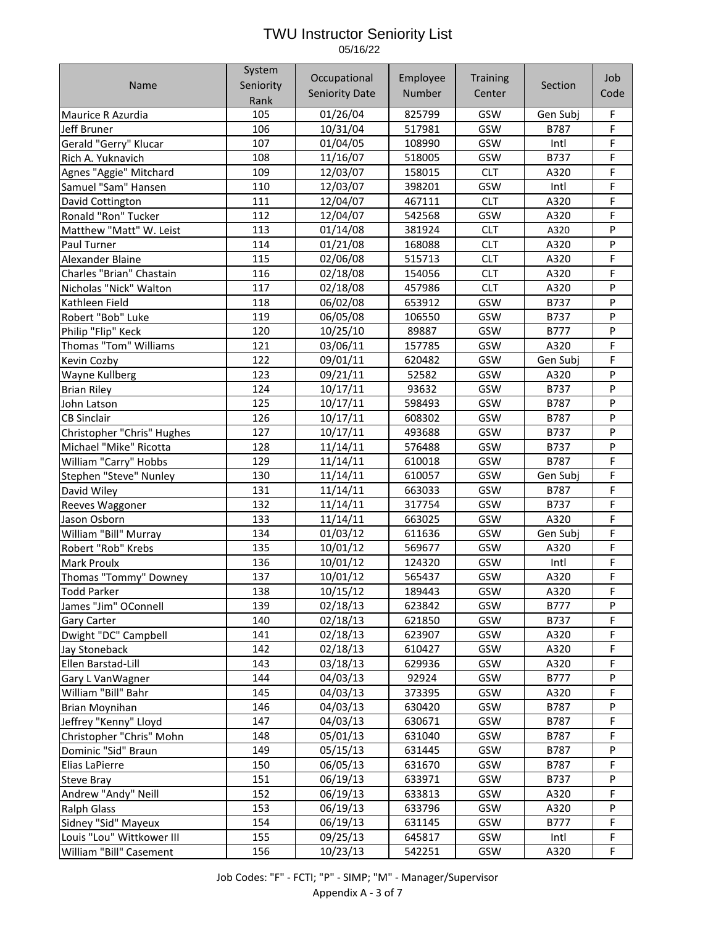|                            | System    | Occupational          | Employee |                 |             | Job    |
|----------------------------|-----------|-----------------------|----------|-----------------|-------------|--------|
| Name                       | Seniority |                       |          | <b>Training</b> | Section     |        |
|                            | Rank      | <b>Seniority Date</b> | Number   | Center          |             | Code   |
| Maurice R Azurdia          | 105       | 01/26/04              | 825799   | GSW             | Gen Subj    | F      |
| Jeff Bruner                | 106       | 10/31/04              | 517981   | GSW             | <b>B787</b> | F      |
| Gerald "Gerry" Klucar      | 107       | 01/04/05              | 108990   | GSW             | Intl        | F      |
| Rich A. Yuknavich          | 108       | 11/16/07              | 518005   | GSW             | B737        | F      |
| Agnes "Aggie" Mitchard     | 109       | 12/03/07              | 158015   | <b>CLT</b>      | A320        | F      |
| Samuel "Sam" Hansen        | 110       | 12/03/07              | 398201   | GSW             | Intl        | F      |
| David Cottington           | 111       | 12/04/07              | 467111   | <b>CLT</b>      | A320        | F      |
| Ronald "Ron" Tucker        | 112       | 12/04/07              | 542568   | GSW             | A320        | F      |
| Matthew "Matt" W. Leist    | 113       | 01/14/08              | 381924   | <b>CLT</b>      | A320        | P      |
| Paul Turner                | 114       | 01/21/08              | 168088   | <b>CLT</b>      | A320        | P      |
| Alexander Blaine           | 115       | 02/06/08              | 515713   | <b>CLT</b>      | A320        | F      |
| Charles "Brian" Chastain   | 116       | 02/18/08              | 154056   | <b>CLT</b>      | A320        | F      |
| Nicholas "Nick" Walton     | 117       | 02/18/08              | 457986   | <b>CLT</b>      | A320        | P      |
| Kathleen Field             | 118       | 06/02/08              | 653912   | GSW             | B737        | P      |
| Robert "Bob" Luke          | 119       | 06/05/08              | 106550   | GSW             | B737        | P      |
| Philip "Flip" Keck         | 120       | 10/25/10              | 89887    | GSW             | <b>B777</b> | P      |
| Thomas "Tom" Williams      | 121       | 03/06/11              | 157785   | GSW             | A320        | F      |
| Kevin Cozby                | 122       | 09/01/11              | 620482   | GSW             | Gen Subj    | F      |
| Wayne Kullberg             | 123       | 09/21/11              | 52582    | GSW             | A320        | P      |
| <b>Brian Riley</b>         | 124       | 10/17/11              | 93632    | GSW             | B737        | P      |
| John Latson                | 125       | 10/17/11              | 598493   | GSW             | B787        | P      |
| <b>CB Sinclair</b>         | 126       | 10/17/11              | 608302   | GSW             | B787        | P      |
| Christopher "Chris" Hughes | 127       | 10/17/11              | 493688   | GSW             | B737        | P      |
| Michael "Mike" Ricotta     | 128       | 11/14/11              | 576488   | GSW             | B737        | P      |
| William "Carry" Hobbs      | 129       | 11/14/11              | 610018   | GSW             | B787        | F      |
| Stephen "Steve" Nunley     | 130       | 11/14/11              | 610057   | GSW             | Gen Subj    | F      |
| David Wiley                | 131       | 11/14/11              | 663033   | GSW             | B787        | F      |
| Reeves Waggoner            | 132       | 11/14/11              | 317754   | GSW             | B737        | F      |
| Jason Osborn               | 133       | 11/14/11              | 663025   | GSW             | A320        | F      |
| William "Bill" Murray      | 134       | 01/03/12              | 611636   | GSW             | Gen Subj    | F      |
| Robert "Rob" Krebs         | 135       | 10/01/12              | 569677   | GSW             | A320        | F      |
| Mark Proulx                | 136       | 10/01/12              | 124320   | GSW             | Intl        | F      |
| Thomas "Tommy" Downey      | 137       | 10/01/12              | 565437   | GSW             | A320        | F      |
| Todd Parker                | 138       | 10/15/12              | 189443   | GSW             | A320        | F      |
| James "Jim" OConnell       | 139       | 02/18/13              | 623842   | GSW             | B777        | P      |
| <b>Gary Carter</b>         | 140       | 02/18/13              | 621850   | GSW             | B737        | F      |
| Dwight "DC" Campbell       | 141       | 02/18/13              | 623907   | GSW             | A320        | F      |
| Jay Stoneback              | 142       | 02/18/13              | 610427   | GSW             | A320        | F      |
| Ellen Barstad-Lill         | 143       | 03/18/13              | 629936   | GSW             | A320        | F      |
| Gary L VanWagner           | 144       | 04/03/13              | 92924    | GSW             | B777        | P      |
| William "Bill" Bahr        | 145       | 04/03/13              | 373395   | GSW             | A320        | F      |
| <b>Brian Moynihan</b>      | 146       | 04/03/13              | 630420   | GSW             | B787        | P      |
| Jeffrey "Kenny" Lloyd      | 147       | 04/03/13              | 630671   | GSW             | B787        | F      |
| Christopher "Chris" Mohn   | 148       | 05/01/13              | 631040   | GSW             | B787        | F      |
| Dominic "Sid" Braun        | 149       | 05/15/13              | 631445   | GSW             | B787        | P      |
| Elias LaPierre             | 150       | 06/05/13              | 631670   | GSW             | B787        | F      |
|                            | 151       | 06/19/13              | 633971   | GSW             | B737        | P      |
| <b>Steve Bray</b>          | 152       | 06/19/13              | 633813   | GSW             | A320        | F      |
| Andrew "Andy" Neill        | 153       |                       |          | GSW             | A320        | P      |
| <b>Ralph Glass</b>         | 154       | 06/19/13              | 633796   | GSW             |             | F      |
| Sidney "Sid" Mayeux        |           | 06/19/13              | 631145   |                 | B777        |        |
| Louis "Lou" Wittkower III  | 155       | 09/25/13              | 645817   | GSW             | Intl        | F<br>F |
| William "Bill" Casement    | 156       | 10/23/13              | 542251   | GSW             | A320        |        |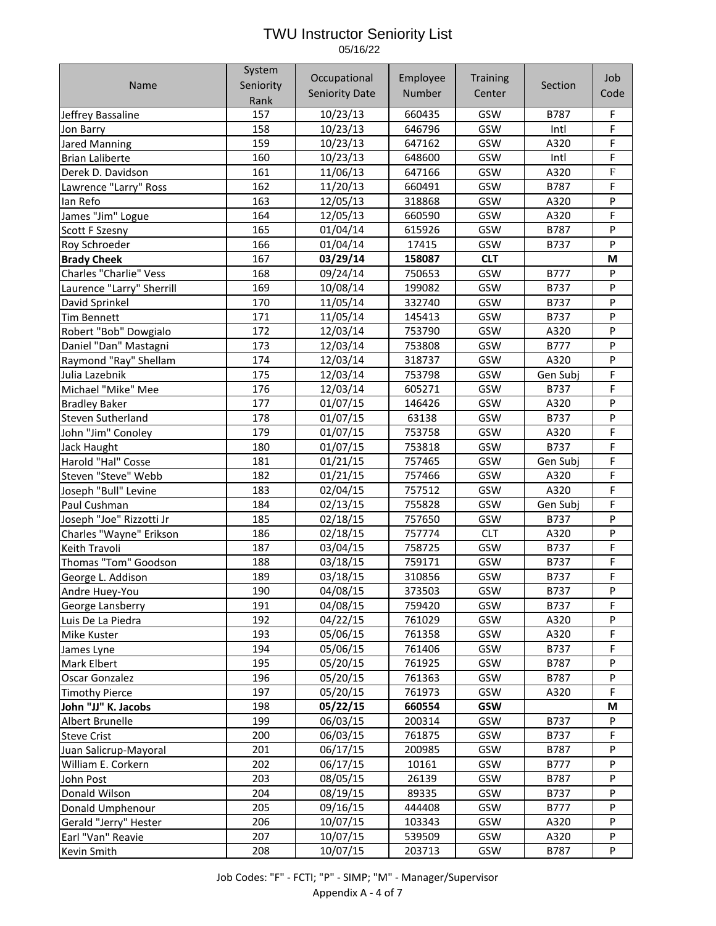Name System Seniority Rank **Occupational** Seniority Date Employee Number **Training Center** Section Job Code Jeffrey Bassaline 157 10/23/13 660435 GSW B787 F Jon Barry 1990 1158 10/23/13 646796 GSW Intl F Jared Manning 159 | 10/23/13 | 647162 | GSW | A320 | F Brian Laliberte 160 | 160 | 10/23/13 | 648600 | GSW | Intl | F Derek D. Davidson 161 11/06/13 647166 GSW A320 F Lawrence "Larry" Ross 162 | 11/20/13 | 660491 | GSW | B787 | F Ian Refo 163 12/05/13 318868 GSW A320 P James "Jim" Logue 164 12/05/13 660590 GSW A320 F Scott F Szesny | 165 | 01/04/14 | 615926 | GSW | B787 P Roy Schroeder 166 01/04/14 17415 GSW B737 P **Brady Cheek** 167 **03/29/14 158087 CLT M** Charles "Charlie" Vess | 168 | 09/24/14 | 750653 | GSW | B777 | P Laurence "Larry" Sherrill 169 10/08/14 199082 GSW B737 P David Sprinkel 170 11/05/14 332740 GSW B737 P Tim Bennett 1973 | 171 | 11/05/14 | 145413 | GSW | B737 | P Robert "Bob" Dowgialo 172 12/03/14 753790 GSW A320 P Daniel "Dan" Mastagni 173 12/03/14 753808 GSW B777 P Raymond "Ray" Shellam 174 12/03/14 318737 GSW A320 P Julia Lazebnik 175 12/03/14 753798 GSW Gen Subj F Michael "Mike" Mee 176 12/03/14 605271 GSW B737 F Bradley Baker 177 01/07/15 146426 GSW A320 P Steven Sutherland 178 01/07/15 63138 GSW B737 P John "Jim" Conoley 179 01/07/15 753758 GSW A320 F Jack Haught 180 01/07/15 753818 GSW B737 F Harold "Hal" Cosse 181 01/21/15 757465 GSW Gen Subj F Steven "Steve" Webb 182 01/21/15 757466 GSW A320 F Joseph "Bull" Levine | 183 | 02/04/15 | 757512 | GSW | A320 | F Paul Cushman 184 02/13/15 755828 GSW Gen Subj F Joseph "Joe" Rizzotti Jr 185 02/18/15 757650 GSW B737 P Charles "Wayne" Erikson 186 02/18/15 757774 CLT A320 P Keith Travoli 187 03/04/15 758725 GSW B737 F Thomas "Tom" Goodson 188 03/18/15 759171 GSW B737 F George L. Addison 189 03/18/15 310856 GSW B737 F Andre Huey-You 190 | 04/08/15 | 373503 | GSW | B737 | P George Lansberry | 191 | 04/08/15 | 759420 | GSW | B737 | F Luis De La Piedra 192 04/22/15 761029 GSW A320 P Mike Kuster 193 05/06/15 761358 GSW A320 F James Lyne 194 | 05/06/15 | 761406 | GSW | B737 | F Mark Elbert 195 05/20/15 761925 GSW B787 P Oscar Gonzalez 196 05/20/15 761363 GSW B787 P Timothy Pierce 197 05/20/15 761973 GSW A320 F **John "JJ" K. Jacobs** 198 **05/22/15 660554 GSW M** Albert Brunelle 199 06/03/15 200314 GSW B737 P Steve Crist 200 | 200 | 200 | 200 | 201875 | GSW | B737 | F Juan Salicrup-Mayoral 201 06/17/15 200985 GSW B787 P William E. Corkern 202 06/17/15 10161 GSW B777 P John Post 203 08/05/15 26139 GSW B787 P Donald Wilson 204 08/19/15 89335 GSW B737 P Donald Umphenour 205 09/16/15 444408 GSW B777 P Gerald "Jerry" Hester 206 10/07/15 103343 GSW A320 P Earl "Van" Reavie 207 10/07/15 539509 GSW A320 P Kevin Smith 208 10/07/15 203713 GSW B787 P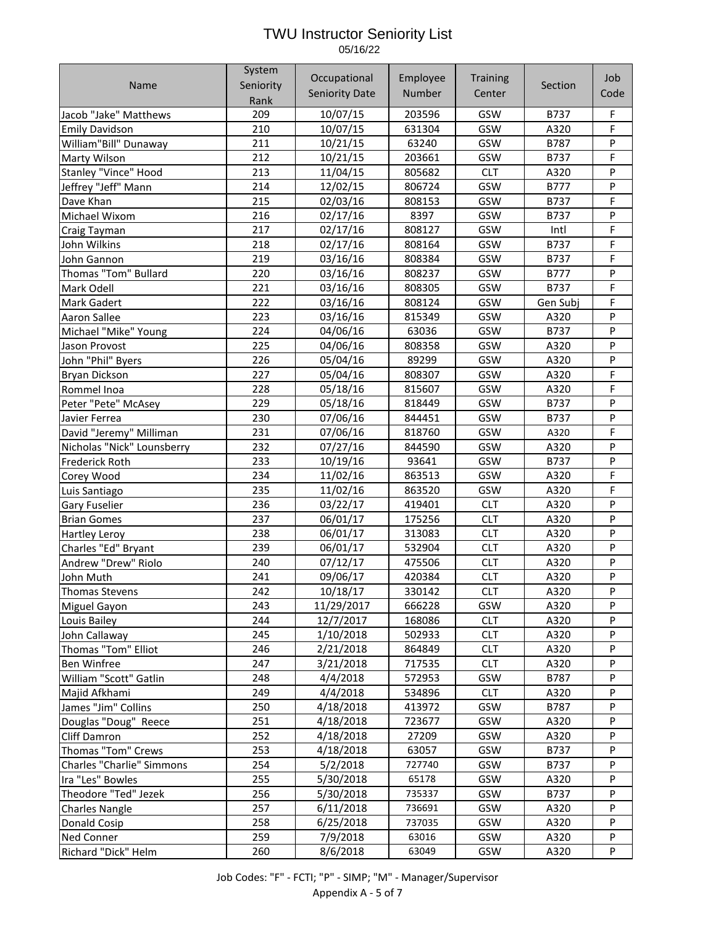|                            | System    | Occupational          | Employee |                 |             | Job    |
|----------------------------|-----------|-----------------------|----------|-----------------|-------------|--------|
| Name                       | Seniority |                       |          | <b>Training</b> | Section     |        |
|                            | Rank      | <b>Seniority Date</b> | Number   | Center          |             | Code   |
| Jacob "Jake" Matthews      | 209       | 10/07/15              | 203596   | GSW             | B737        | F      |
| <b>Emily Davidson</b>      | 210       | 10/07/15              | 631304   | GSW             | A320        | F      |
| William"Bill" Dunaway      | 211       | 10/21/15              | 63240    | GSW             | B787        | P      |
| Marty Wilson               | 212       | 10/21/15              | 203661   | GSW             | B737        | F      |
| Stanley "Vince" Hood       | 213       | 11/04/15              | 805682   | <b>CLT</b>      | A320        | P      |
| Jeffrey "Jeff" Mann        | 214       | 12/02/15              | 806724   | GSW             | <b>B777</b> | P      |
| Dave Khan                  | 215       | 02/03/16              | 808153   | GSW             | B737        | F      |
| Michael Wixom              | 216       | 02/17/16              | 8397     | GSW             | B737        | P      |
| Craig Tayman               | 217       | 02/17/16              | 808127   | GSW             | Intl        | F      |
| John Wilkins               | 218       | 02/17/16              | 808164   | GSW             | B737        | F      |
| John Gannon                | 219       | 03/16/16              | 808384   | GSW             | B737        | F      |
| Thomas "Tom" Bullard       | 220       | 03/16/16              | 808237   | GSW             | <b>B777</b> | P      |
| Mark Odell                 | 221       | 03/16/16              | 808305   | GSW             | B737        | F      |
| <b>Mark Gadert</b>         | 222       | 03/16/16              | 808124   | GSW             | Gen Subj    | F      |
| <b>Aaron Sallee</b>        | 223       | 03/16/16              | 815349   | GSW             | A320        | P      |
| Michael "Mike" Young       | 224       | 04/06/16              | 63036    | GSW             | B737        | P      |
| Jason Provost              | 225       | 04/06/16              | 808358   | GSW             | A320        | P      |
| John "Phil" Byers          | 226       | 05/04/16              | 89299    | GSW             | A320        | P      |
| <b>Bryan Dickson</b>       | 227       | 05/04/16              | 808307   | GSW             | A320        | F      |
| Rommel Inoa                | 228       | 05/18/16              | 815607   | GSW             | A320        | F      |
| Peter "Pete" McAsey        | 229       | 05/18/16              | 818449   | GSW             | B737        | P      |
| Javier Ferrea              | 230       | 07/06/16              | 844451   | GSW             | B737        | P      |
| David "Jeremy" Milliman    | 231       | 07/06/16              | 818760   | GSW             | A320        | F      |
| Nicholas "Nick" Lounsberry | 232       | 07/27/16              | 844590   | GSW             | A320        | P      |
|                            | 233       |                       | 93641    | GSW             | B737        | P      |
| <b>Frederick Roth</b>      | 234       | 10/19/16<br>11/02/16  | 863513   | GSW             | A320        | F      |
| Corey Wood                 | 235       | 11/02/16              | 863520   | GSW             |             | F      |
| Luis Santiago              | 236       | 03/22/17              |          | <b>CLT</b>      | A320        | P      |
| <b>Gary Fuselier</b>       | 237       | 06/01/17              | 419401   | <b>CLT</b>      | A320        | P      |
| <b>Brian Gomes</b>         |           |                       | 175256   |                 | A320        | P      |
| <b>Hartley Leroy</b>       | 238       | 06/01/17              | 313083   | <b>CLT</b>      | A320        | P      |
| Charles "Ed" Bryant        | 239       | 06/01/17              | 532904   | <b>CLT</b>      | A320        |        |
| Andrew "Drew" Riolo        | 240       | 07/12/17              | 475506   | <b>CLT</b>      | A320        | P<br>P |
| John Muth                  | 241       | 09/06/17              | 420384   | <b>CLT</b>      | A320        |        |
| Thomas Stevens             | 242       | 10/18/17              | 330142   | <b>CLT</b>      | A320        | P      |
| Miguel Gayon               | 243       | 11/29/2017            | 666228   | <b>GSW</b>      | A320        | P      |
| Louis Bailey               | 244       | 12/7/2017             | 168086   | <b>CLT</b>      | A320        | P      |
| John Callaway              | 245       | 1/10/2018             | 502933   | <b>CLT</b>      | A320        | P      |
| Thomas "Tom" Elliot        | 246       | 2/21/2018             | 864849   | <b>CLT</b>      | A320        | P      |
| <b>Ben Winfree</b>         | 247       | 3/21/2018             | 717535   | <b>CLT</b>      | A320        | P      |
| William "Scott" Gatlin     | 248       | 4/4/2018              | 572953   | GSW             | B787        | P      |
| Majid Afkhami              | 249       | 4/4/2018              | 534896   | <b>CLT</b>      | A320        | P      |
| James "Jim" Collins        | 250       | 4/18/2018             | 413972   | GSW             | B787        | P      |
| Douglas "Doug" Reece       | 251       | 4/18/2018             | 723677   | GSW             | A320        | P      |
| Cliff Damron               | 252       | 4/18/2018             | 27209    | GSW             | A320        | P      |
| Thomas "Tom" Crews         | 253       | 4/18/2018             | 63057    | GSW             | B737        | P      |
| Charles "Charlie" Simmons  | 254       | 5/2/2018              | 727740   | GSW             | B737        | P      |
| Ira "Les" Bowles           | 255       | 5/30/2018             | 65178    | GSW             | A320        | P      |
| Theodore "Ted" Jezek       | 256       | 5/30/2018             | 735337   | GSW             | B737        | P      |
| <b>Charles Nangle</b>      | 257       | 6/11/2018             | 736691   | GSW             | A320        | P      |
| Donald Cosip               | 258       | 6/25/2018             | 737035   | GSW             | A320        | P      |
| <b>Ned Conner</b>          | 259       | 7/9/2018              | 63016    | GSW             | A320        | P      |
| Richard "Dick" Helm        | 260       | 8/6/2018              | 63049    | GSW             | A320        | P      |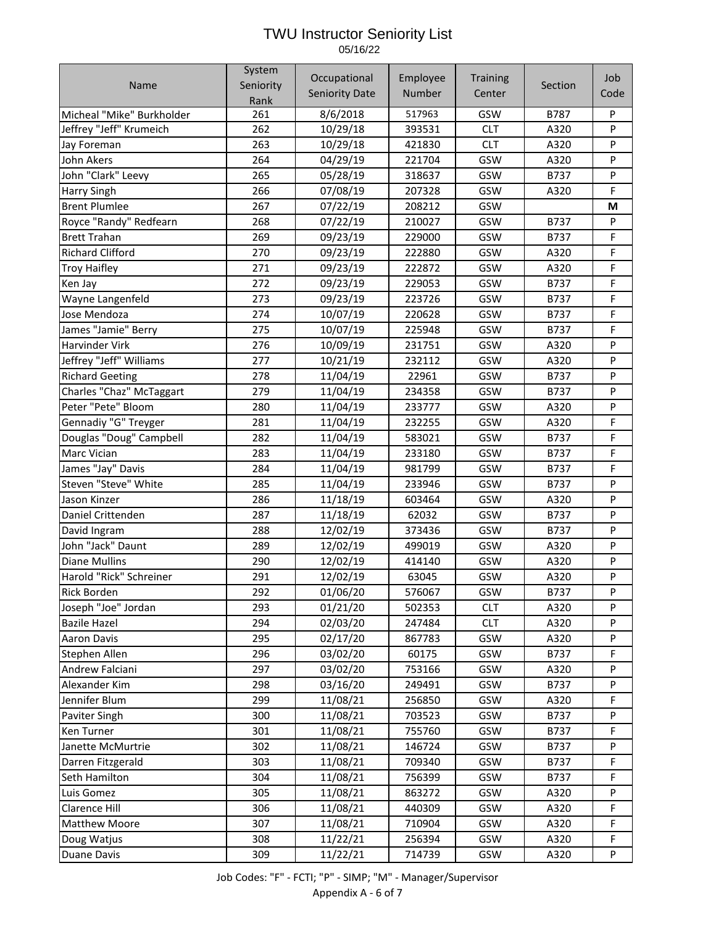|                           | System    | Occupational          | Employee | <b>Training</b> |             | Job       |
|---------------------------|-----------|-----------------------|----------|-----------------|-------------|-----------|
| <b>Name</b>               | Seniority | <b>Seniority Date</b> | Number   | Center          | Section     | Code      |
|                           | Rank      |                       |          |                 |             |           |
| Micheal "Mike" Burkholder | 261       | 8/6/2018              | 517963   | GSW             | B787        | P         |
| Jeffrey "Jeff" Krumeich   | 262       | 10/29/18              | 393531   | <b>CLT</b>      | A320        | P         |
| Jay Foreman               | 263       | 10/29/18              | 421830   | <b>CLT</b>      | A320        | ${\sf P}$ |
| John Akers                | 264       | 04/29/19              | 221704   | GSW             | A320        | P         |
| John "Clark" Leevy        | 265       | 05/28/19              | 318637   | GSW             | <b>B737</b> | P         |
| <b>Harry Singh</b>        | 266       | 07/08/19              | 207328   | GSW             | A320        | F         |
| <b>Brent Plumlee</b>      | 267       | 07/22/19              | 208212   | GSW             |             | M         |
| Royce "Randy" Redfearn    | 268       | 07/22/19              | 210027   | GSW             | B737        | P         |
| <b>Brett Trahan</b>       | 269       | 09/23/19              | 229000   | GSW             | B737        | F         |
| <b>Richard Clifford</b>   | 270       | 09/23/19              | 222880   | GSW             | A320        | F         |
| <b>Troy Haifley</b>       | 271       | 09/23/19              | 222872   | GSW             | A320        | F         |
| Ken Jay                   | 272       | 09/23/19              | 229053   | GSW             | B737        | F         |
| Wayne Langenfeld          | 273       | 09/23/19              | 223726   | GSW             | B737        | F         |
| Jose Mendoza              | 274       | 10/07/19              | 220628   | GSW             | B737        | F         |
| James "Jamie" Berry       | 275       | 10/07/19              | 225948   | GSW             | B737        | F         |
| <b>Harvinder Virk</b>     | 276       | 10/09/19              | 231751   | GSW             | A320        | P         |
| Jeffrey "Jeff" Williams   | 277       | 10/21/19              | 232112   | GSW             | A320        | ${\sf P}$ |
| <b>Richard Geeting</b>    | 278       | 11/04/19              | 22961    | GSW             | B737        | P         |
| Charles "Chaz" McTaggart  | 279       | 11/04/19              | 234358   | GSW             | B737        | P         |
| Peter "Pete" Bloom        | 280       | 11/04/19              | 233777   | GSW             | A320        | P         |
| Gennadiy "G" Treyger      | 281       | 11/04/19              | 232255   | GSW             | A320        | F         |
| Douglas "Doug" Campbell   | 282       | 11/04/19              | 583021   | GSW             | B737        | F         |
| <b>Marc Vician</b>        | 283       | 11/04/19              | 233180   | GSW             | B737        | F         |
| James "Jay" Davis         | 284       | 11/04/19              | 981799   | GSW             | B737        | F         |
| Steven "Steve" White      | 285       | 11/04/19              | 233946   | GSW             | B737        | P         |
| Jason Kinzer              | 286       | 11/18/19              | 603464   | GSW             | A320        | P         |
| Daniel Crittenden         | 287       | 11/18/19              | 62032    | GSW             | B737        | ${\sf P}$ |
| David Ingram              | 288       | 12/02/19              | 373436   | GSW             | B737        | ${\sf P}$ |
| John "Jack" Daunt         | 289       | 12/02/19              | 499019   | GSW             | A320        | P         |
| <b>Diane Mullins</b>      | 290       | 12/02/19              | 414140   | GSW             | A320        | $\sf P$   |
| Harold "Rick" Schreiner   | 291       | 12/02/19              | 63045    | GSW             | A320        | P         |
| <b>Rick Borden</b>        | 292       | 01/06/20              | 576067   | GSW             | B737        | P         |
| Joseph "Joe" Jordan       | 293       | 01/21/20              | 502353   | <b>CLT</b>      | A320        | ${\sf P}$ |
| <b>Bazile Hazel</b>       | 294       | 02/03/20              | 247484   | <b>CLT</b>      | A320        | P         |
| <b>Aaron Davis</b>        | 295       | 02/17/20              | 867783   | GSW             | A320        | P         |
| Stephen Allen             | 296       | 03/02/20              | 60175    | GSW             | B737        | F         |
| Andrew Falciani           | 297       | 03/02/20              | 753166   | GSW             | A320        | P         |
| Alexander Kim             | 298       | 03/16/20              | 249491   | GSW             | B737        | P         |
| Jennifer Blum             | 299       | 11/08/21              | 256850   | GSW             | A320        | F         |
| Paviter Singh             | 300       | 11/08/21              | 703523   | GSW             | B737        | P         |
| Ken Turner                | 301       | 11/08/21              | 755760   | GSW             | B737        | F         |
| Janette McMurtrie         | 302       | 11/08/21              | 146724   | GSW             | B737        | P         |
| Darren Fitzgerald         | 303       | 11/08/21              | 709340   | GSW             | B737        | F         |
| Seth Hamilton             | 304       | 11/08/21              | 756399   | GSW             | B737        | F         |
| Luis Gomez                | 305       | 11/08/21              | 863272   | GSW             | A320        | P         |
| Clarence Hill             | 306       | 11/08/21              | 440309   | GSW             | A320        | F         |
| <b>Matthew Moore</b>      | 307       | 11/08/21              | 710904   | GSW             | A320        | F         |
| Doug Watjus               | 308       | 11/22/21              | 256394   | GSW             | A320        | F         |
| Duane Davis               | 309       | 11/22/21              | 714739   | GSW             | A320        | P         |

Job Codes: "F" - FCTI; "P" - SIMP; "M" - Manager/Supervisor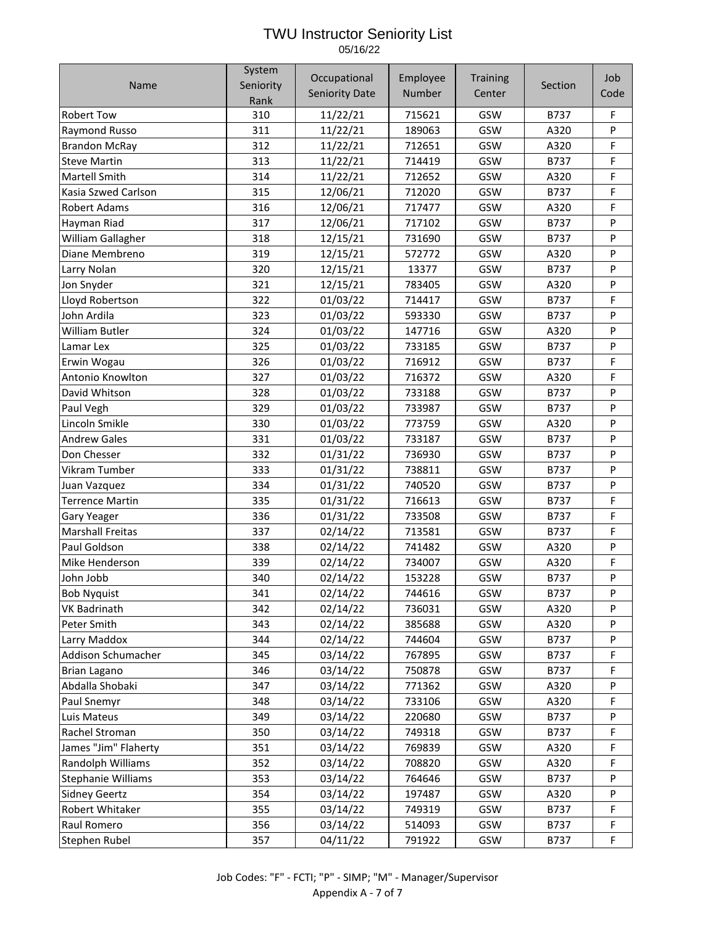|                         | System    | Occupational          | Employee | <b>Training</b> |             | Job     |
|-------------------------|-----------|-----------------------|----------|-----------------|-------------|---------|
| Name                    | Seniority | <b>Seniority Date</b> | Number   | Center          | Section     | Code    |
|                         | Rank      |                       |          |                 |             |         |
| <b>Robert Tow</b>       | 310       | 11/22/21              | 715621   | GSW             | B737        | F       |
| Raymond Russo           | 311       | 11/22/21              | 189063   | GSW             | A320        | P       |
| <b>Brandon McRay</b>    | 312       | 11/22/21              | 712651   | GSW             | A320        | F       |
| <b>Steve Martin</b>     | 313       | 11/22/21              | 714419   | GSW             | B737        | F       |
| <b>Martell Smith</b>    | 314       | 11/22/21              | 712652   | GSW             | A320        | F       |
| Kasia Szwed Carlson     | 315       | 12/06/21              | 712020   | GSW             | B737        | F       |
| <b>Robert Adams</b>     | 316       | 12/06/21              | 717477   | GSW             | A320        | F       |
| Hayman Riad             | 317       | 12/06/21              | 717102   | GSW             | B737        | $\sf P$ |
| William Gallagher       | 318       | 12/15/21              | 731690   | GSW             | B737        | P       |
| Diane Membreno          | 319       | 12/15/21              | 572772   | GSW             | A320        | P       |
| Larry Nolan             | 320       | 12/15/21              | 13377    | GSW             | <b>B737</b> | P       |
| Jon Snyder              | 321       | 12/15/21              | 783405   | GSW             | A320        | P       |
| Lloyd Robertson         | 322       | 01/03/22              | 714417   | GSW             | B737        | F       |
| John Ardila             | 323       | 01/03/22              | 593330   | GSW             | B737        | P       |
| <b>William Butler</b>   | 324       | 01/03/22              | 147716   | GSW             | A320        | P       |
| Lamar Lex               | 325       | 01/03/22              | 733185   | GSW             | B737        | P       |
| Erwin Wogau             | 326       | 01/03/22              | 716912   | GSW             | B737        | F       |
| Antonio Knowlton        | 327       | 01/03/22              | 716372   | GSW             | A320        | F       |
| David Whitson           | 328       | 01/03/22              | 733188   | GSW             | B737        | P       |
| Paul Vegh               | 329       | 01/03/22              | 733987   | GSW             | B737        | P       |
| Lincoln Smikle          | 330       | 01/03/22              | 773759   | GSW             | A320        | P       |
| <b>Andrew Gales</b>     | 331       | 01/03/22              | 733187   | GSW             | B737        | P       |
| Don Chesser             | 332       | 01/31/22              | 736930   | GSW             | B737        | P       |
| Vikram Tumber           | 333       | 01/31/22              | 738811   | GSW             | B737        | P       |
| Juan Vazquez            | 334       | 01/31/22              | 740520   | GSW             | <b>B737</b> | P       |
| <b>Terrence Martin</b>  | 335       | 01/31/22              | 716613   | GSW             | B737        | F       |
| Gary Yeager             | 336       | 01/31/22              | 733508   | GSW             | B737        | F       |
| <b>Marshall Freitas</b> | 337       | 02/14/22              | 713581   | GSW             | B737        | F       |
| Paul Goldson            | 338       | 02/14/22              | 741482   | GSW             | A320        | $\sf P$ |
| Mike Henderson          | 339       | 02/14/22              | 734007   | GSW             | A320        | F       |
| John Jobb               | 340       | 02/14/22              | 153228   | GSW             | B737        | P       |
| <b>Bob Nyquist</b>      | 341       | 02/14/22              | 744616   | GSW             | B737        | P       |
| <b>VK Badrinath</b>     | 342       | 02/14/22              | 736031   | GSW             | A320        | P       |
| Peter Smith             | 343       | 02/14/22              | 385688   | GSW             | A320        | P       |
| Larry Maddox            | 344       | 02/14/22              | 744604   | GSW             | B737        | P       |
| Addison Schumacher      | 345       | 03/14/22              | 767895   | GSW             | B737        | F       |
| Brian Lagano            | 346       | 03/14/22              | 750878   | GSW             | B737        | F       |
| Abdalla Shobaki         | 347       | 03/14/22              | 771362   | GSW             | A320        | P       |
| Paul Snemyr             | 348       | 03/14/22              | 733106   | GSW             | A320        | F       |
| Luis Mateus             | 349       | 03/14/22              | 220680   | GSW             | B737        | P       |
| Rachel Stroman          | 350       | 03/14/22              | 749318   | GSW             | B737        | F       |
| James "Jim" Flaherty    | 351       | 03/14/22              | 769839   | GSW             | A320        | F       |
| Randolph Williams       | 352       | 03/14/22              | 708820   | GSW             | A320        | F       |
| Stephanie Williams      | 353       | 03/14/22              | 764646   | GSW             | B737        | P       |
| <b>Sidney Geertz</b>    | 354       | 03/14/22              | 197487   | GSW             | A320        | P       |
| Robert Whitaker         | 355       | 03/14/22              | 749319   | GSW             | B737        | F       |
| Raul Romero             | 356       | 03/14/22              | 514093   | GSW             | B737        | F       |
| Stephen Rubel           | 357       | 04/11/22              | 791922   | GSW             | B737        | F       |
|                         |           |                       |          |                 |             |         |